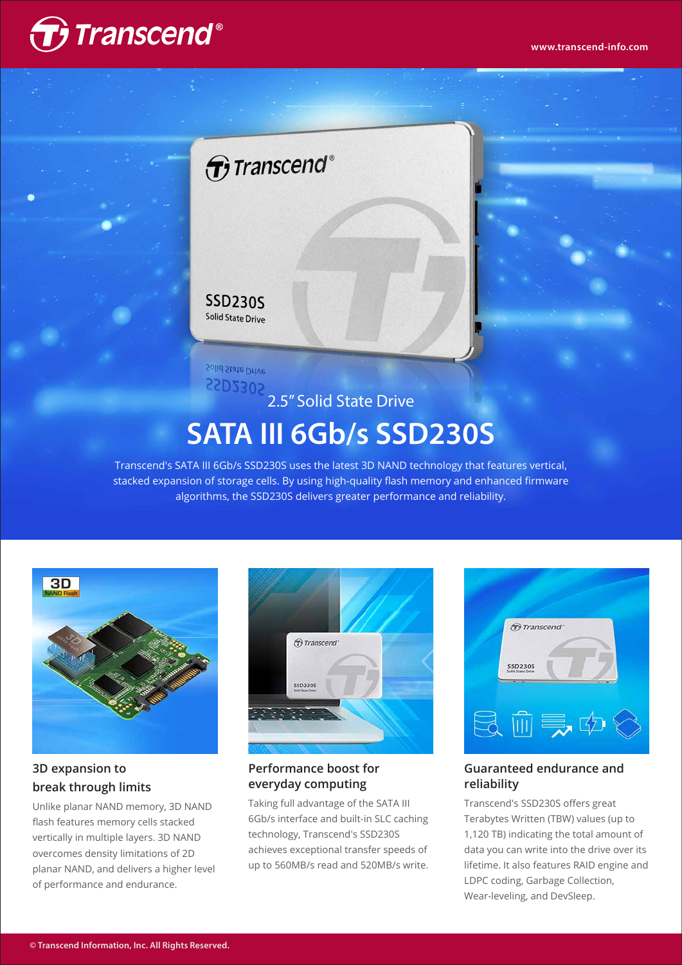

## $\bigoplus$  Transcend®

#### **SSD230S Solid State Drive**

Solid State Drive SSD230S

# 2.5" Solid State Drive **SATA III 6Gb/s SSD230S**

Transcend's SATA III 6Gb/s SSD230S uses the latest 3D NAND technology that features vertical, stacked expansion of storage cells. By using high-quality flash memory and enhanced firmware algorithms, the SSD230S delivers greater performance and reliability.



### **3D expansion to break through limits**

Unlike planar NAND memory, 3D NAND flash features memory cells stacked vertically in multiple layers. 3D NAND overcomes density limitations of 2D planar NAND, and delivers a higher level of performance and endurance.



#### **Performance boost for everyday computing**

Taking full advantage of the SATA III 6Gb/s interface and built-in SLC caching technology, Transcend's SSD230S achieves exceptional transfer speeds of up to 560MB/s read and 520MB/s write.



#### **Guaranteed endurance and reliability**

Transcend's SSD230S offers great Terabytes Written (TBW) values (up to 1,120 TB) indicating the total amount of data you can write into the drive over its lifetime. It also features RAID engine and LDPC coding, Garbage Collection, Wear-leveling, and DevSleep.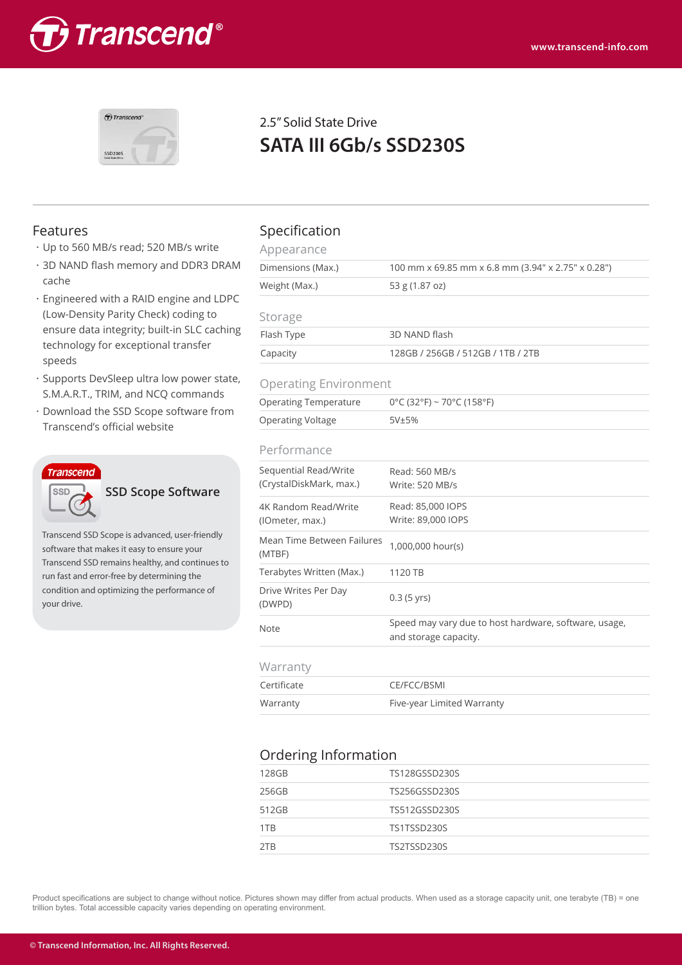



### 2.5" Solid State Drive **SATA III 6Gb/s SSD230S**

- ・Up to 560 MB/s read; 520 MB/s write
- ・3D NAND flash memory and DDR3 DRAM cache
- ・Engineered with a RAID engine and LDPC (Low-Density Parity Check) coding to ensure data integrity; built-in SLC caching technology for exceptional transfer speeds
- ・Supports DevSleep ultra low power state, S.M.A.R.T., TRIM, and NCQ commands
- ・Download the SSD Scope software from Transcend's official website



**SSD Scope Software**

Transcend SSD Scope is advanced, user-friendly software that makes it easy to ensure your Transcend SSD remains healthy, and continues to run fast and error-free by determining the condition and optimizing the performance of your drive.

#### Features Specification

| Appearance                   |                                                    |  |  |  |
|------------------------------|----------------------------------------------------|--|--|--|
| Dimensions (Max.)            | 100 mm x 69.85 mm x 6.8 mm (3.94" x 2.75" x 0.28") |  |  |  |
| Weight (Max.)                | 53 g (1.87 oz)                                     |  |  |  |
| Storage                      |                                                    |  |  |  |
| Flash Type                   | 3D NAND flash                                      |  |  |  |
| Capacity                     | 128GB / 256GB / 512GB / 1TB / 2TB                  |  |  |  |
| <b>Operating Environment</b> |                                                    |  |  |  |
| <b>Operating Temperature</b> | $0^{\circ}$ C (32°F) ~ 70°C (158°F)                |  |  |  |
| <b>Operating Voltage</b>     | 5V±5%                                              |  |  |  |
| Performance                  |                                                    |  |  |  |

| CITULITULICU                                     |                                                                                |  |  |  |
|--------------------------------------------------|--------------------------------------------------------------------------------|--|--|--|
| Sequential Read/Write<br>(CrystalDiskMark, max.) | Read: 560 MB/s<br>Write: 520 MB/s                                              |  |  |  |
| 4K Random Read/Write<br>(lOmeter, max.)          | Read: 85,000 IOPS<br>Write: 89,000 IOPS                                        |  |  |  |
| Mean Time Between Failures<br>(MTBF)             | 1,000,000 hour(s)                                                              |  |  |  |
| Terabytes Written (Max.)                         | 1120 TB                                                                        |  |  |  |
| Drive Writes Per Day<br>(DWPD)                   | $0.3$ (5 yrs)                                                                  |  |  |  |
| <b>Note</b>                                      | Speed may vary due to host hardware, software, usage,<br>and storage capacity. |  |  |  |
| Warranty                                         |                                                                                |  |  |  |
| Certificate                                      | CE/FCC/BSMI                                                                    |  |  |  |
| Warranty                                         | Five-year Limited Warranty                                                     |  |  |  |
|                                                  |                                                                                |  |  |  |

#### Ordering Information

| 128GB | TS128GSSD230S |
|-------|---------------|
| 256GB | TS256GSSD230S |
| 512GB | TS512GSSD230S |
| 1TB   | TS1TSSD230S   |
| 2TB   | TS2TSSD230S   |
|       |               |

Product specifications are subject to change without notice. Pictures shown may differ from actual products. When used as a storage capacity unit, one terabyte (TB) = one trillion bytes. Total accessible capacity varies depending on operating environment.